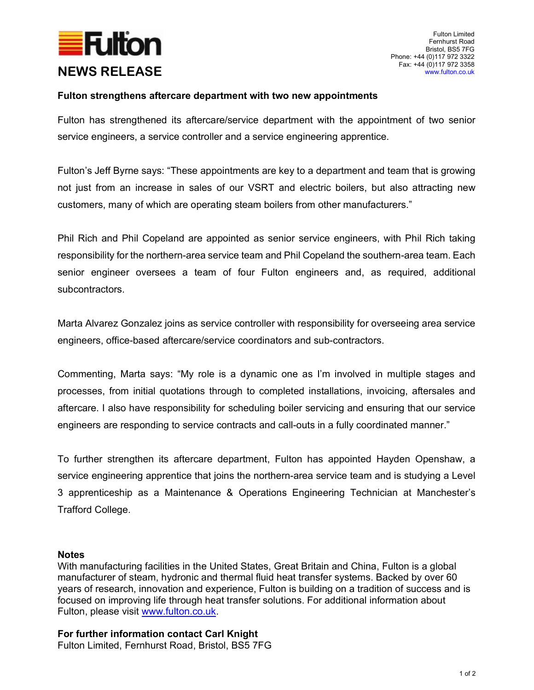

## Fulton strengthens aftercare department with two new appointments

Fulton has strengthened its aftercare/service department with the appointment of two senior service engineers, a service controller and a service engineering apprentice.

Fulton's Jeff Byrne says: "These appointments are key to a department and team that is growing not just from an increase in sales of our VSRT and electric boilers, but also attracting new customers, many of which are operating steam boilers from other manufacturers."

Phil Rich and Phil Copeland are appointed as senior service engineers, with Phil Rich taking responsibility for the northern-area service team and Phil Copeland the southern-area team. Each senior engineer oversees a team of four Fulton engineers and, as required, additional subcontractors.

Marta Alvarez Gonzalez joins as service controller with responsibility for overseeing area service engineers, office-based aftercare/service coordinators and sub-contractors.

Commenting, Marta says: "My role is a dynamic one as I'm involved in multiple stages and processes, from initial quotations through to completed installations, invoicing, aftersales and aftercare. I also have responsibility for scheduling boiler servicing and ensuring that our service engineers are responding to service contracts and call-outs in a fully coordinated manner."

To further strengthen its aftercare department, Fulton has appointed Hayden Openshaw, a service engineering apprentice that joins the northern-area service team and is studying a Level 3 apprenticeship as a Maintenance & Operations Engineering Technician at Manchester's Trafford College.

## Notes

With manufacturing facilities in the United States, Great Britain and China, Fulton is a global manufacturer of steam, hydronic and thermal fluid heat transfer systems. Backed by over 60 years of research, innovation and experience, Fulton is building on a tradition of success and is focused on improving life through heat transfer solutions. For additional information about Fulton, please visit www.fulton.co.uk.

For further information contact Carl Knight Fulton Limited, Fernhurst Road, Bristol, BS5 7FG